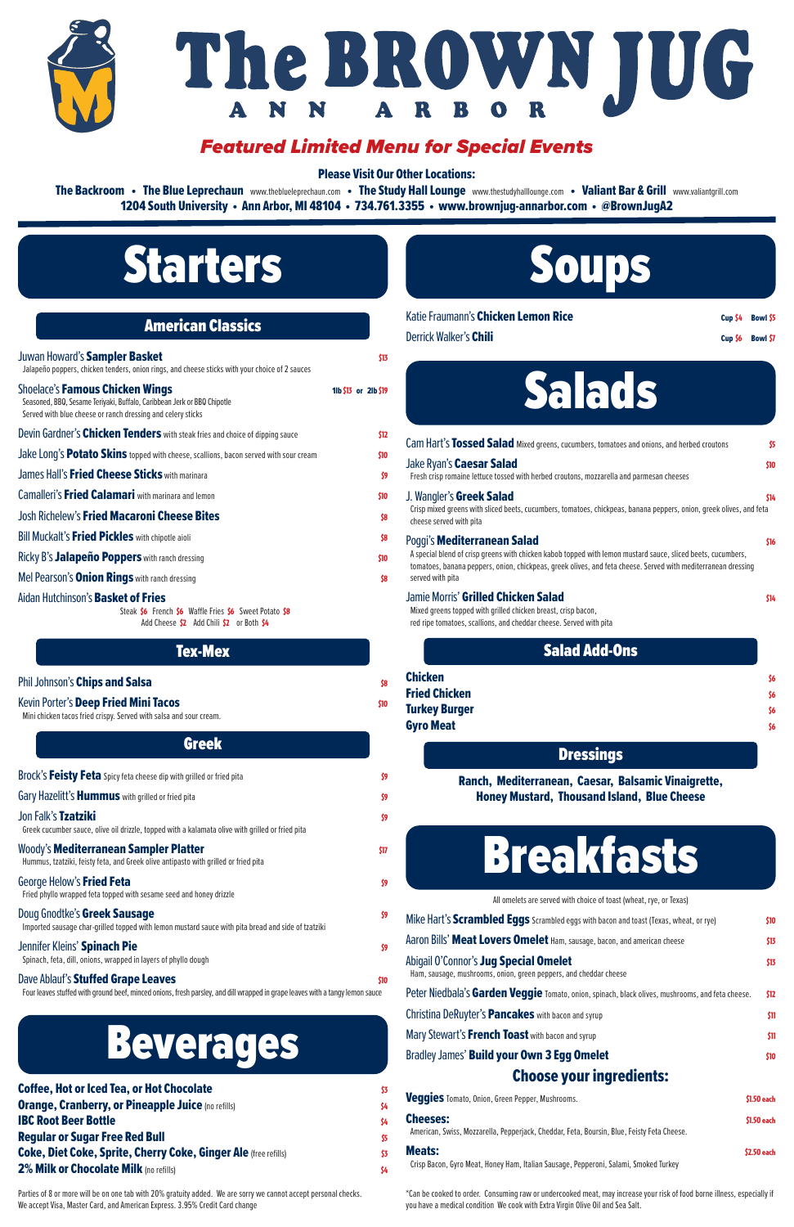## Starters

| <b>American Classics</b> |  |  |
|--------------------------|--|--|
|                          |  |  |

| Juwan Howard's Sampler Basket<br>Jalapeño poppers, chicken tenders, onion rings, and cheese sticks with your choice of 2 sauces                                                  | \$13                 |
|----------------------------------------------------------------------------------------------------------------------------------------------------------------------------------|----------------------|
| <b>Shoelace's Famous Chicken Wings</b><br>Seasoned, BBQ, Sesame Teriyaki, Buffalo, Caribbean Jerk or BBQ Chipotle<br>Served with blue cheese or ranch dressing and celery sticks | 11b \$13 or 21b \$19 |
| Devin Gardner's Chicken Tenders with steak fries and choice of dipping sauce                                                                                                     | \$12                 |
| Jake Long's Potato Skins topped with cheese, scallions, bacon served with sour cream                                                                                             | \$10                 |
| James Hall's <b>Fried Cheese Sticks</b> with marinara                                                                                                                            | \$9                  |
| Camalleri's Fried Calamari with marinara and lemon                                                                                                                               | \$10                 |
| <b>Josh Richelew's Fried Macaroni Cheese Bites</b>                                                                                                                               | \$8                  |
| Bill Muckalt's Fried Pickles with chipotle aioli                                                                                                                                 | \$8                  |
| Ricky B's <b>Jalapeño Poppers</b> with ranch dressing                                                                                                                            | \$10                 |
| Mel Pearson's <b>Onion Rings</b> with ranch dressing                                                                                                                             | \$8                  |
| Aidan Hutchinson's <b>Basket of Fries</b><br>Steak \$6 French \$6 Waffle Fries \$6 Sweet Potato \$8<br>Add Cheese \$2 Add Chili \$2 or Both \$4                                  |                      |
| <b>Tex-Mex</b>                                                                                                                                                                   |                      |
| Phil Johnson's Chips and Salsa                                                                                                                                                   | \$8                  |
| Kevin Porter's Deep Fried Mini Tacos<br>Mini chicken tacos fried crispy. Served with salsa and sour cream.                                                                       | \$10                 |

#### Greek

| \$9  |
|------|
| \$9  |
| \$9  |
| \$17 |
| \$9  |
|      |

Imported sausage char-grilled topped with lemon mustard sauce with pita bread and side of tzatziki

#### Jennifer Kleins' Spinach Pie **Brunder and School Spinach Pie** \$9

Spinach, feta, dill, onions, wrapped in layers of phyllo dough

#### Dave Ablauf's **Stuffed Grape Leaves**  $\frac{1}{20}$

Four leaves stuffed with ground beef, minced onions, fresh parsley, and dill wrapped in grape leaves with a tangy lemon sauce

# Soups

| Mike Hart's Scrambled Eggs Scrambled eggs with bacon and toast (Texas, wheat, or rye)                         | \$10        |
|---------------------------------------------------------------------------------------------------------------|-------------|
| Aaron Bills' Meat Lovers Omelet Ham, sausage, bacon, and american cheese                                      | \$13        |
| Abigail O'Connor's Jug Special Omelet<br>Ham, sausage, mushrooms, onion, green peppers, and cheddar cheese    | \$13        |
| Peter Niedbala's Garden Veggie Tomato, onion, spinach, black olives, mushrooms, and feta cheese.              | \$12        |
| Christina DeRuyter's <b>Pancakes</b> with bacon and syrup                                                     | \$11        |
| Mary Stewart's French Toast with bacon and syrup                                                              | \$11        |
| Bradley James' <b>Build your Own 3 Egg Omelet</b>                                                             | \$10        |
| <b>Choose your ingredients:</b>                                                                               |             |
| Veggies Tomato, Onion, Green Pepper, Mushrooms.                                                               | \$1.50 each |
| <b>Cheeses:</b><br>American, Swiss, Mozzarella, Pepperjack, Cheddar, Feta, Boursin, Blue, Feisty Feta Cheese. | \$1.50 each |
| <b>Meats:</b><br>Crisp Bacon, Gyro Meat, Honey Ham, Italian Sausage, Pepperoni, Salami, Smoked Turkey         | \$2.50 each |
|                                                                                                               |             |

| Katie Fraumann's Chicken Lemon Rice                                                                                                                                                                                                                                                     | Cup \$4 | <b>Bowl S5</b>       |
|-----------------------------------------------------------------------------------------------------------------------------------------------------------------------------------------------------------------------------------------------------------------------------------------|---------|----------------------|
| Derrick Walker's Chili                                                                                                                                                                                                                                                                  | Cup \$6 | <b>Bowl S7</b>       |
| Salads                                                                                                                                                                                                                                                                                  |         |                      |
| Cam Hart's Tossed Salad Mixed greens, cucumbers, tomatoes and onions, and herbed croutons                                                                                                                                                                                               |         | \$5                  |
| Jake Ryan's <b>Caesar Salad</b><br>Fresh crisp romaine lettuce tossed with herbed croutons, mozzarella and parmesan cheeses                                                                                                                                                             |         | \$10                 |
| J. Wangler's <b>Greek Salad</b><br>Crisp mixed greens with sliced beets, cucumbers, tomatoes, chickpeas, banana peppers, onion, greek olives, and feta<br>cheese served with pita                                                                                                       |         | \$14                 |
| Poggi's <b>Mediterranean Salad</b><br>A special blend of crisp greens with chicken kabob topped with lemon mustard sauce, sliced beets, cucumbers,<br>tomatoes, banana peppers, onion, chickpeas, greek olives, and feta cheese. Served with mediterranean dressing<br>served with pita |         | \$16                 |
| Jamie Morris' Grilled Chicken Salad<br>Mixed greens topped with grilled chicken breast, crisp bacon,<br>red ripe tomatoes, scallions, and cheddar cheese. Served with pita                                                                                                              |         | \$14                 |
| <b>Salad Add-Ons</b>                                                                                                                                                                                                                                                                    |         |                      |
| Chicken<br><b>Fried Chicken</b><br>Turkey Burger<br><b>Gyro Meat</b>                                                                                                                                                                                                                    |         | Š6<br>Š6<br>Š6<br>Š6 |
| <b>Dressings</b>                                                                                                                                                                                                                                                                        |         |                      |

The Backroom • The Blue Leprechaun www.theblueleprechaun.com • The Study Hall Lounge www.thestudyhalllounge.com • Valiant Bar & Grill www.valiantgrill.com 1204 South University • Ann Arbor, MI 48104 • 734.761.3355 • www.brownjug-annarbor.com • @BrownJugA2

> Ranch, Mediterranean, Caesar, Balsamic Vinaigrette, Honey Mustard, Thousand Island, Blue Cheese



#### Doug Gnodtke's Greek Sausage  $\mathfrak{so}$

## Beverages

Coffee, Hot or Iced Tea, or Hot Chocolate  $\frac{3}{3}$ **Orange, Cranberry, or Pineapple Juice** (no refills) **S4 IBC Root Beer Bottle**  $\frac{1}{4}$ **Regular or Sugar Free Red Bull \$5 and \$5 and \$5 and \$5 and \$5 and \$5 and \$5 and \$5 and \$5 and \$5 and \$5 and \$5** Coke, Diet Coke, Sprite, Cherry Coke, Ginger Ale (free refills) 53 **2% Milk or Chocolate Milk** (no refills)  $\frac{1}{4}$ 

> \*Can be cooked to order. Consuming raw or undercooked meat, may increase your risk of food borne illness, especially if you have a medical condition We cook with Extra Virgin Olive Oil and Sea Salt.

Parties of 8 or more will be on one tab with 20% gratuity added. We are sorry we cannot accept personal checks. We accept Visa, Master Card, and American Express. 3.95% Credit Card change





### *Featured Limited Menu for Special Events*

Please Visit Our Other Locations: